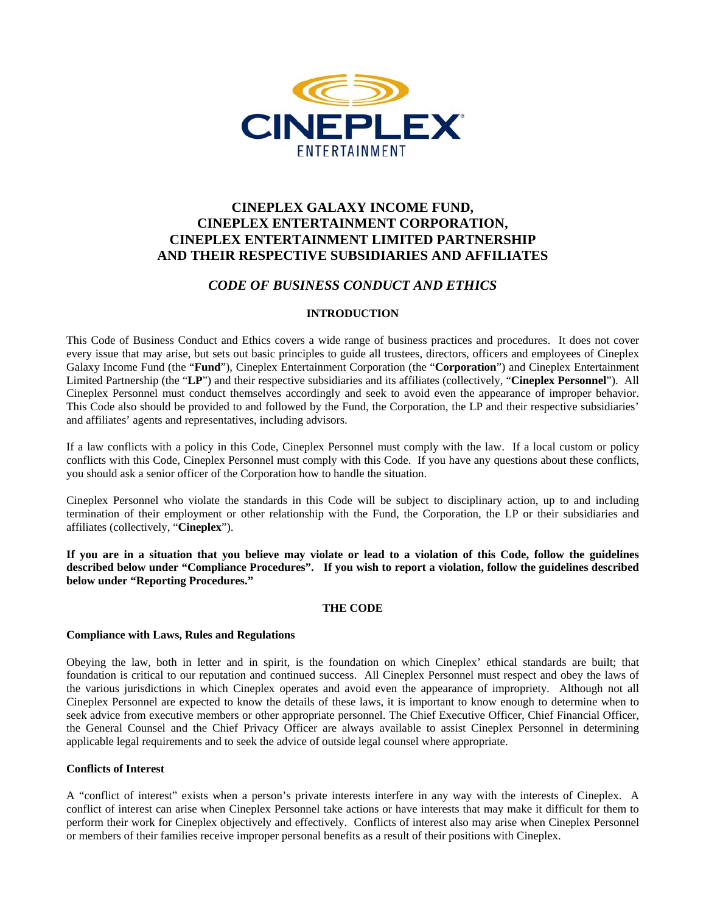

# **CINEPLEX GALAXY INCOME FUND, CINEPLEX ENTERTAINMENT CORPORATION, CINEPLEX ENTERTAINMENT LIMITED PARTNERSHIP AND THEIR RESPECTIVE SUBSIDIARIES AND AFFILIATES**

# *CODE OF BUSINESS CONDUCT AND ETHICS*

## **INTRODUCTION**

This Code of Business Conduct and Ethics covers a wide range of business practices and procedures. It does not cover every issue that may arise, but sets out basic principles to guide all trustees, directors, officers and employees of Cineplex Galaxy Income Fund (the "**Fund**"), Cineplex Entertainment Corporation (the "**Corporation**") and Cineplex Entertainment Limited Partnership (the "**LP**") and their respective subsidiaries and its affiliates (collectively, "**Cineplex Personnel**"). All Cineplex Personnel must conduct themselves accordingly and seek to avoid even the appearance of improper behavior. This Code also should be provided to and followed by the Fund, the Corporation, the LP and their respective subsidiaries' and affiliates' agents and representatives, including advisors.

If a law conflicts with a policy in this Code, Cineplex Personnel must comply with the law. If a local custom or policy conflicts with this Code, Cineplex Personnel must comply with this Code. If you have any questions about these conflicts, you should ask a senior officer of the Corporation how to handle the situation.

Cineplex Personnel who violate the standards in this Code will be subject to disciplinary action, up to and including termination of their employment or other relationship with the Fund, the Corporation, the LP or their subsidiaries and affiliates (collectively, "**Cineplex**").

**If you are in a situation that you believe may violate or lead to a violation of this Code, follow the guidelines described below under "Compliance Procedures". If you wish to report a violation, follow the guidelines described below under "Reporting Procedures."**

## **THE CODE**

## **Compliance with Laws, Rules and Regulations**

Obeying the law, both in letter and in spirit, is the foundation on which Cineplex' ethical standards are built; that foundation is critical to our reputation and continued success. All Cineplex Personnel must respect and obey the laws of the various jurisdictions in which Cineplex operates and avoid even the appearance of impropriety. Although not all Cineplex Personnel are expected to know the details of these laws, it is important to know enough to determine when to seek advice from executive members or other appropriate personnel. The Chief Executive Officer, Chief Financial Officer, the General Counsel and the Chief Privacy Officer are always available to assist Cineplex Personnel in determining applicable legal requirements and to seek the advice of outside legal counsel where appropriate.

## **Conflicts of Interest**

A "conflict of interest" exists when a person's private interests interfere in any way with the interests of Cineplex. A conflict of interest can arise when Cineplex Personnel take actions or have interests that may make it difficult for them to perform their work for Cineplex objectively and effectively. Conflicts of interest also may arise when Cineplex Personnel or members of their families receive improper personal benefits as a result of their positions with Cineplex.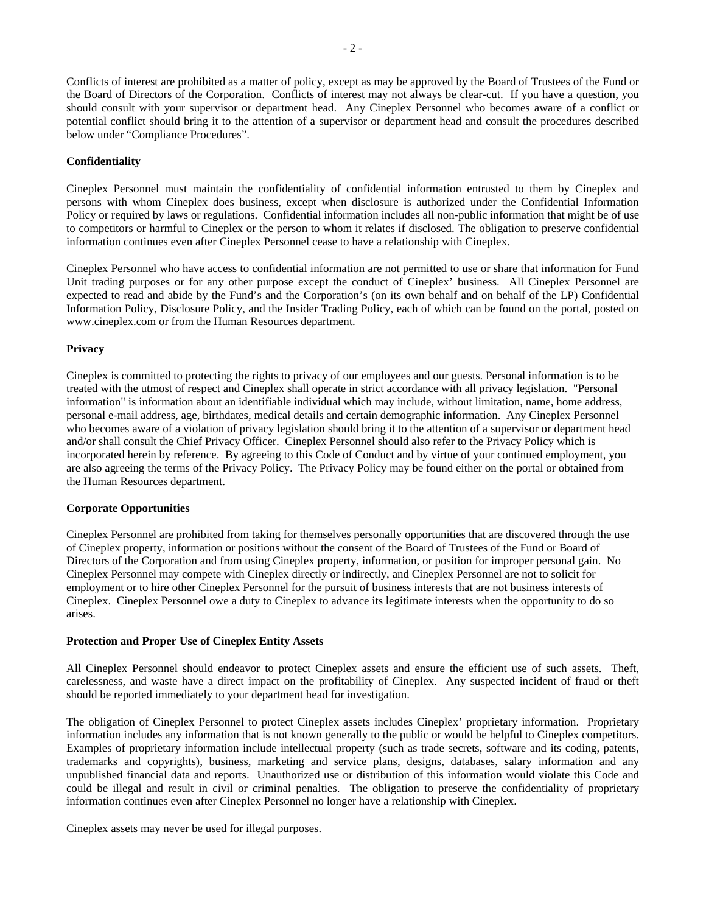Conflicts of interest are prohibited as a matter of policy, except as may be approved by the Board of Trustees of the Fund or the Board of Directors of the Corporation. Conflicts of interest may not always be clear-cut. If you have a question, you should consult with your supervisor or department head. Any Cineplex Personnel who becomes aware of a conflict or potential conflict should bring it to the attention of a supervisor or department head and consult the procedures described below under "Compliance Procedures".

## **Confidentiality**

Cineplex Personnel must maintain the confidentiality of confidential information entrusted to them by Cineplex and persons with whom Cineplex does business, except when disclosure is authorized under the Confidential Information Policy or required by laws or regulations. Confidential information includes all non-public information that might be of use to competitors or harmful to Cineplex or the person to whom it relates if disclosed. The obligation to preserve confidential information continues even after Cineplex Personnel cease to have a relationship with Cineplex.

Cineplex Personnel who have access to confidential information are not permitted to use or share that information for Fund Unit trading purposes or for any other purpose except the conduct of Cineplex' business. All Cineplex Personnel are expected to read and abide by the Fund's and the Corporation's (on its own behalf and on behalf of the LP) Confidential Information Policy, Disclosure Policy, and the Insider Trading Policy, each of which can be found on the portal, posted on www.cineplex.com or from the Human Resources department.

## **Privacy**

Cineplex is committed to protecting the rights to privacy of our employees and our guests. Personal information is to be treated with the utmost of respect and Cineplex shall operate in strict accordance with all privacy legislation. "Personal information" is information about an identifiable individual which may include, without limitation, name, home address, personal e-mail address, age, birthdates, medical details and certain demographic information. Any Cineplex Personnel who becomes aware of a violation of privacy legislation should bring it to the attention of a supervisor or department head and/or shall consult the Chief Privacy Officer. Cineplex Personnel should also refer to the Privacy Policy which is incorporated herein by reference. By agreeing to this Code of Conduct and by virtue of your continued employment, you are also agreeing the terms of the Privacy Policy. The Privacy Policy may be found either on the portal or obtained from the Human Resources department.

## **Corporate Opportunities**

Cineplex Personnel are prohibited from taking for themselves personally opportunities that are discovered through the use of Cineplex property, information or positions without the consent of the Board of Trustees of the Fund or Board of Directors of the Corporation and from using Cineplex property, information, or position for improper personal gain. No Cineplex Personnel may compete with Cineplex directly or indirectly, and Cineplex Personnel are not to solicit for employment or to hire other Cineplex Personnel for the pursuit of business interests that are not business interests of Cineplex. Cineplex Personnel owe a duty to Cineplex to advance its legitimate interests when the opportunity to do so arises.

## **Protection and Proper Use of Cineplex Entity Assets**

All Cineplex Personnel should endeavor to protect Cineplex assets and ensure the efficient use of such assets. Theft, carelessness, and waste have a direct impact on the profitability of Cineplex. Any suspected incident of fraud or theft should be reported immediately to your department head for investigation.

The obligation of Cineplex Personnel to protect Cineplex assets includes Cineplex' proprietary information. Proprietary information includes any information that is not known generally to the public or would be helpful to Cineplex competitors. Examples of proprietary information include intellectual property (such as trade secrets, software and its coding, patents, trademarks and copyrights), business, marketing and service plans, designs, databases, salary information and any unpublished financial data and reports. Unauthorized use or distribution of this information would violate this Code and could be illegal and result in civil or criminal penalties. The obligation to preserve the confidentiality of proprietary information continues even after Cineplex Personnel no longer have a relationship with Cineplex.

Cineplex assets may never be used for illegal purposes.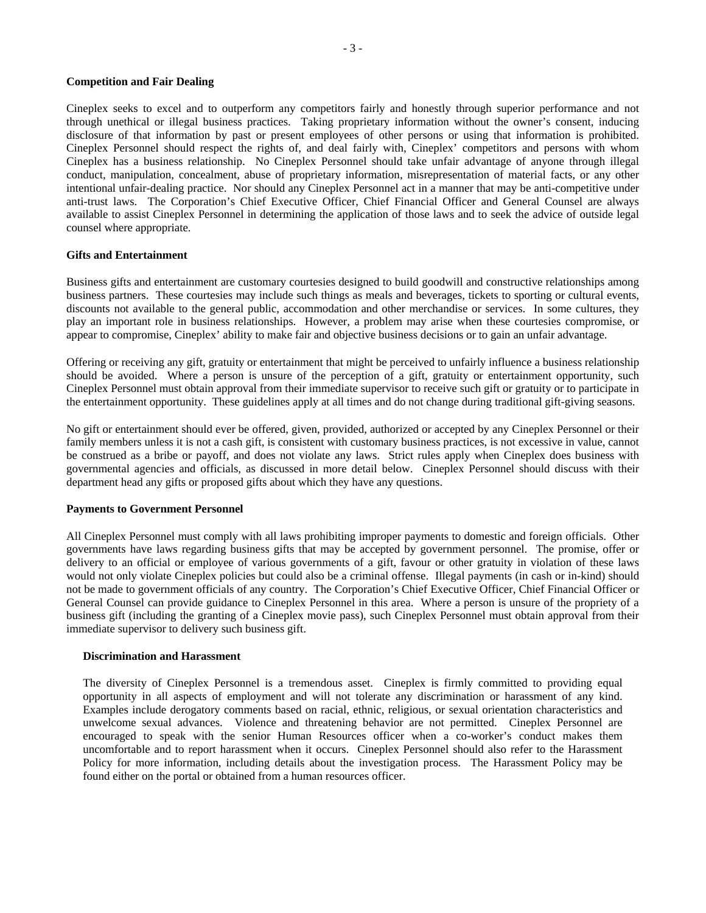#### **Competition and Fair Dealing**

Cineplex seeks to excel and to outperform any competitors fairly and honestly through superior performance and not through unethical or illegal business practices. Taking proprietary information without the owner's consent, inducing disclosure of that information by past or present employees of other persons or using that information is prohibited. Cineplex Personnel should respect the rights of, and deal fairly with, Cineplex' competitors and persons with whom Cineplex has a business relationship. No Cineplex Personnel should take unfair advantage of anyone through illegal conduct, manipulation, concealment, abuse of proprietary information, misrepresentation of material facts, or any other intentional unfair-dealing practice. Nor should any Cineplex Personnel act in a manner that may be anti-competitive under anti-trust laws. The Corporation's Chief Executive Officer, Chief Financial Officer and General Counsel are always available to assist Cineplex Personnel in determining the application of those laws and to seek the advice of outside legal counsel where appropriate.

#### **Gifts and Entertainment**

Business gifts and entertainment are customary courtesies designed to build goodwill and constructive relationships among business partners. These courtesies may include such things as meals and beverages, tickets to sporting or cultural events, discounts not available to the general public, accommodation and other merchandise or services. In some cultures, they play an important role in business relationships. However, a problem may arise when these courtesies compromise, or appear to compromise, Cineplex' ability to make fair and objective business decisions or to gain an unfair advantage.

Offering or receiving any gift, gratuity or entertainment that might be perceived to unfairly influence a business relationship should be avoided. Where a person is unsure of the perception of a gift, gratuity or entertainment opportunity, such Cineplex Personnel must obtain approval from their immediate supervisor to receive such gift or gratuity or to participate in the entertainment opportunity. These guidelines apply at all times and do not change during traditional gift-giving seasons.

No gift or entertainment should ever be offered, given, provided, authorized or accepted by any Cineplex Personnel or their family members unless it is not a cash gift, is consistent with customary business practices, is not excessive in value, cannot be construed as a bribe or payoff, and does not violate any laws. Strict rules apply when Cineplex does business with governmental agencies and officials, as discussed in more detail below. Cineplex Personnel should discuss with their department head any gifts or proposed gifts about which they have any questions.

#### **Payments to Government Personnel**

All Cineplex Personnel must comply with all laws prohibiting improper payments to domestic and foreign officials. Other governments have laws regarding business gifts that may be accepted by government personnel. The promise, offer or delivery to an official or employee of various governments of a gift, favour or other gratuity in violation of these laws would not only violate Cineplex policies but could also be a criminal offense. Illegal payments (in cash or in-kind) should not be made to government officials of any country. The Corporation's Chief Executive Officer, Chief Financial Officer or General Counsel can provide guidance to Cineplex Personnel in this area. Where a person is unsure of the propriety of a business gift (including the granting of a Cineplex movie pass), such Cineplex Personnel must obtain approval from their immediate supervisor to delivery such business gift.

#### **Discrimination and Harassment**

The diversity of Cineplex Personnel is a tremendous asset. Cineplex is firmly committed to providing equal opportunity in all aspects of employment and will not tolerate any discrimination or harassment of any kind. Examples include derogatory comments based on racial, ethnic, religious, or sexual orientation characteristics and unwelcome sexual advances. Violence and threatening behavior are not permitted. Cineplex Personnel are encouraged to speak with the senior Human Resources officer when a co-worker's conduct makes them uncomfortable and to report harassment when it occurs. Cineplex Personnel should also refer to the Harassment Policy for more information, including details about the investigation process. The Harassment Policy may be found either on the portal or obtained from a human resources officer.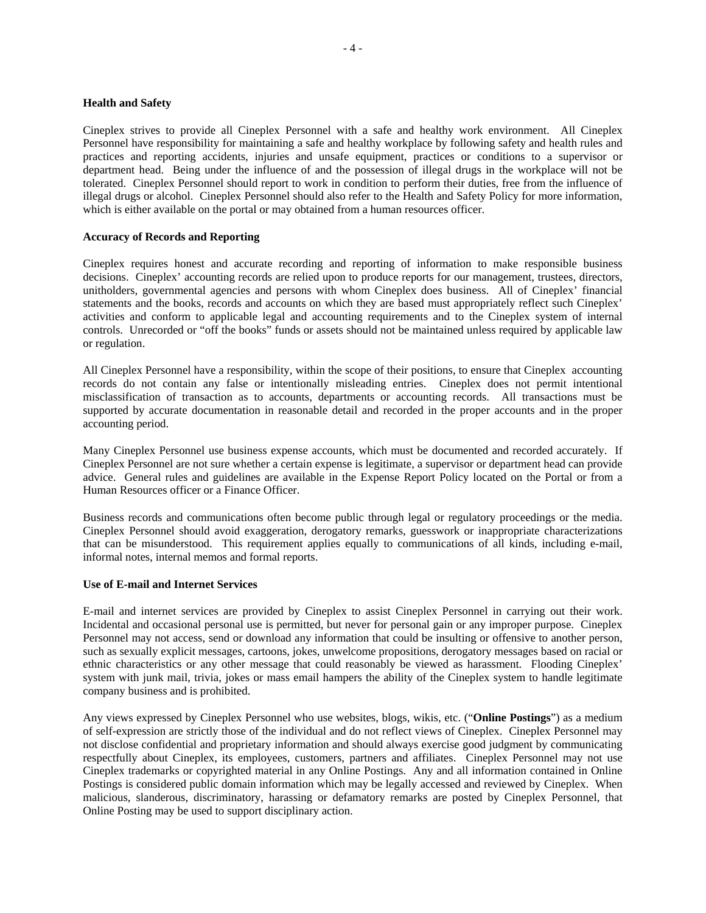#### **Health and Safety**

Cineplex strives to provide all Cineplex Personnel with a safe and healthy work environment. All Cineplex Personnel have responsibility for maintaining a safe and healthy workplace by following safety and health rules and practices and reporting accidents, injuries and unsafe equipment, practices or conditions to a supervisor or department head. Being under the influence of and the possession of illegal drugs in the workplace will not be tolerated. Cineplex Personnel should report to work in condition to perform their duties, free from the influence of illegal drugs or alcohol. Cineplex Personnel should also refer to the Health and Safety Policy for more information, which is either available on the portal or may obtained from a human resources officer.

#### **Accuracy of Records and Reporting**

Cineplex requires honest and accurate recording and reporting of information to make responsible business decisions. Cineplex' accounting records are relied upon to produce reports for our management, trustees, directors, unitholders, governmental agencies and persons with whom Cineplex does business. All of Cineplex' financial statements and the books, records and accounts on which they are based must appropriately reflect such Cineplex' activities and conform to applicable legal and accounting requirements and to the Cineplex system of internal controls. Unrecorded or "off the books" funds or assets should not be maintained unless required by applicable law or regulation.

All Cineplex Personnel have a responsibility, within the scope of their positions, to ensure that Cineplex accounting records do not contain any false or intentionally misleading entries. Cineplex does not permit intentional misclassification of transaction as to accounts, departments or accounting records. All transactions must be supported by accurate documentation in reasonable detail and recorded in the proper accounts and in the proper accounting period.

Many Cineplex Personnel use business expense accounts, which must be documented and recorded accurately. If Cineplex Personnel are not sure whether a certain expense is legitimate, a supervisor or department head can provide advice. General rules and guidelines are available in the Expense Report Policy located on the Portal or from a Human Resources officer or a Finance Officer.

Business records and communications often become public through legal or regulatory proceedings or the media. Cineplex Personnel should avoid exaggeration, derogatory remarks, guesswork or inappropriate characterizations that can be misunderstood. This requirement applies equally to communications of all kinds, including e-mail, informal notes, internal memos and formal reports.

## **Use of E-mail and Internet Services**

E-mail and internet services are provided by Cineplex to assist Cineplex Personnel in carrying out their work. Incidental and occasional personal use is permitted, but never for personal gain or any improper purpose. Cineplex Personnel may not access, send or download any information that could be insulting or offensive to another person, such as sexually explicit messages, cartoons, jokes, unwelcome propositions, derogatory messages based on racial or ethnic characteristics or any other message that could reasonably be viewed as harassment. Flooding Cineplex' system with junk mail, trivia, jokes or mass email hampers the ability of the Cineplex system to handle legitimate company business and is prohibited.

Any views expressed by Cineplex Personnel who use websites, blogs, wikis, etc. ("**Online Postings**") as a medium of self-expression are strictly those of the individual and do not reflect views of Cineplex. Cineplex Personnel may not disclose confidential and proprietary information and should always exercise good judgment by communicating respectfully about Cineplex, its employees, customers, partners and affiliates. Cineplex Personnel may not use Cineplex trademarks or copyrighted material in any Online Postings. Any and all information contained in Online Postings is considered public domain information which may be legally accessed and reviewed by Cineplex. When malicious, slanderous, discriminatory, harassing or defamatory remarks are posted by Cineplex Personnel, that Online Posting may be used to support disciplinary action.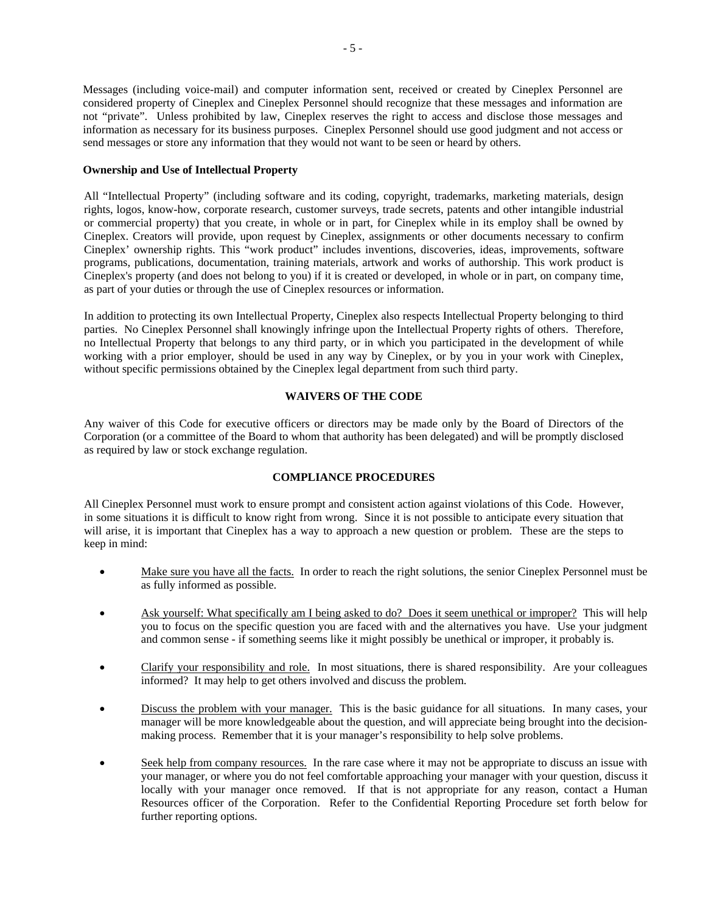Messages (including voice-mail) and computer information sent, received or created by Cineplex Personnel are considered property of Cineplex and Cineplex Personnel should recognize that these messages and information are not "private". Unless prohibited by law, Cineplex reserves the right to access and disclose those messages and information as necessary for its business purposes. Cineplex Personnel should use good judgment and not access or send messages or store any information that they would not want to be seen or heard by others.

## **Ownership and Use of Intellectual Property**

All "Intellectual Property" (including software and its coding, copyright, trademarks, marketing materials, design rights, logos, know-how, corporate research, customer surveys, trade secrets, patents and other intangible industrial or commercial property) that you create, in whole or in part, for Cineplex while in its employ shall be owned by Cineplex. Creators will provide, upon request by Cineplex, assignments or other documents necessary to confirm Cineplex' ownership rights. This "work product" includes inventions, discoveries, ideas, improvements, software programs, publications, documentation, training materials, artwork and works of authorship. This work product is Cineplex's property (and does not belong to you) if it is created or developed, in whole or in part, on company time, as part of your duties or through the use of Cineplex resources or information.

In addition to protecting its own Intellectual Property, Cineplex also respects Intellectual Property belonging to third parties. No Cineplex Personnel shall knowingly infringe upon the Intellectual Property rights of others. Therefore, no Intellectual Property that belongs to any third party, or in which you participated in the development of while working with a prior employer, should be used in any way by Cineplex, or by you in your work with Cineplex, without specific permissions obtained by the Cineplex legal department from such third party.

## **WAIVERS OF THE CODE**

Any waiver of this Code for executive officers or directors may be made only by the Board of Directors of the Corporation (or a committee of the Board to whom that authority has been delegated) and will be promptly disclosed as required by law or stock exchange regulation.

## **COMPLIANCE PROCEDURES**

All Cineplex Personnel must work to ensure prompt and consistent action against violations of this Code. However, in some situations it is difficult to know right from wrong. Since it is not possible to anticipate every situation that will arise, it is important that Cineplex has a way to approach a new question or problem. These are the steps to keep in mind:

- Make sure you have all the facts. In order to reach the right solutions, the senior Cineplex Personnel must be as fully informed as possible.
- Ask yourself: What specifically am I being asked to do? Does it seem unethical or improper? This will help you to focus on the specific question you are faced with and the alternatives you have. Use your judgment and common sense - if something seems like it might possibly be unethical or improper, it probably is.
- Clarify your responsibility and role. In most situations, there is shared responsibility. Are your colleagues informed? It may help to get others involved and discuss the problem.
- Discuss the problem with your manager. This is the basic guidance for all situations. In many cases, your manager will be more knowledgeable about the question, and will appreciate being brought into the decisionmaking process. Remember that it is your manager's responsibility to help solve problems.
- Seek help from company resources. In the rare case where it may not be appropriate to discuss an issue with your manager, or where you do not feel comfortable approaching your manager with your question, discuss it locally with your manager once removed. If that is not appropriate for any reason, contact a Human Resources officer of the Corporation. Refer to the Confidential Reporting Procedure set forth below for further reporting options.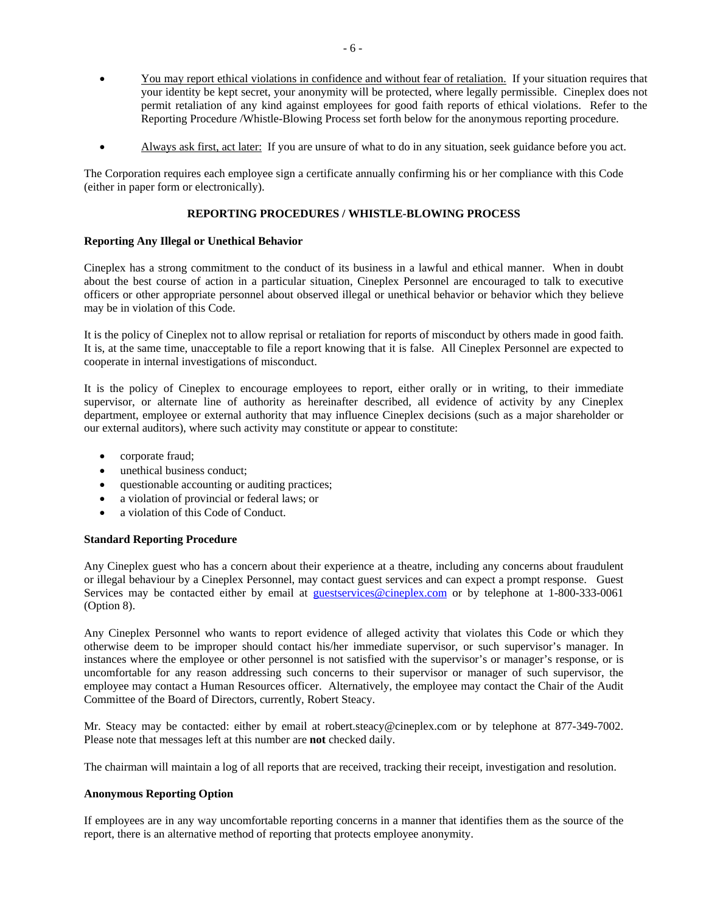- You may report ethical violations in confidence and without fear of retaliation. If your situation requires that your identity be kept secret, your anonymity will be protected, where legally permissible. Cineplex does not permit retaliation of any kind against employees for good faith reports of ethical violations. Refer to the Reporting Procedure /Whistle-Blowing Process set forth below for the anonymous reporting procedure.
- Always ask first, act later: If you are unsure of what to do in any situation, seek guidance before you act.

The Corporation requires each employee sign a certificate annually confirming his or her compliance with this Code (either in paper form or electronically).

#### **REPORTING PROCEDURES / WHISTLE-BLOWING PROCESS**

#### **Reporting Any Illegal or Unethical Behavior**

Cineplex has a strong commitment to the conduct of its business in a lawful and ethical manner. When in doubt about the best course of action in a particular situation, Cineplex Personnel are encouraged to talk to executive officers or other appropriate personnel about observed illegal or unethical behavior or behavior which they believe may be in violation of this Code.

It is the policy of Cineplex not to allow reprisal or retaliation for reports of misconduct by others made in good faith. It is, at the same time, unacceptable to file a report knowing that it is false. All Cineplex Personnel are expected to cooperate in internal investigations of misconduct.

It is the policy of Cineplex to encourage employees to report, either orally or in writing, to their immediate supervisor, or alternate line of authority as hereinafter described, all evidence of activity by any Cineplex department, employee or external authority that may influence Cineplex decisions (such as a major shareholder or our external auditors), where such activity may constitute or appear to constitute:

- corporate fraud;
- unethical business conduct;
- questionable accounting or auditing practices;
- a violation of provincial or federal laws; or
- a violation of this Code of Conduct.

## **Standard Reporting Procedure**

Any Cineplex guest who has a concern about their experience at a theatre, including any concerns about fraudulent or illegal behaviour by a Cineplex Personnel, may contact guest services and can expect a prompt response. Guest Services may be contacted either by email at guestservices@cineplex.com or by telephone at 1-800-333-0061 (Option 8).

Any Cineplex Personnel who wants to report evidence of alleged activity that violates this Code or which they otherwise deem to be improper should contact his/her immediate supervisor, or such supervisor's manager. In instances where the employee or other personnel is not satisfied with the supervisor's or manager's response, or is uncomfortable for any reason addressing such concerns to their supervisor or manager of such supervisor, the employee may contact a Human Resources officer. Alternatively, the employee may contact the Chair of the Audit Committee of the Board of Directors, currently, Robert Steacy.

Mr. Steacy may be contacted: either by email at robert.steacy@cineplex.com or by telephone at 877-349-7002. Please note that messages left at this number are **not** checked daily.

The chairman will maintain a log of all reports that are received, tracking their receipt, investigation and resolution.

## **Anonymous Reporting Option**

If employees are in any way uncomfortable reporting concerns in a manner that identifies them as the source of the report, there is an alternative method of reporting that protects employee anonymity.